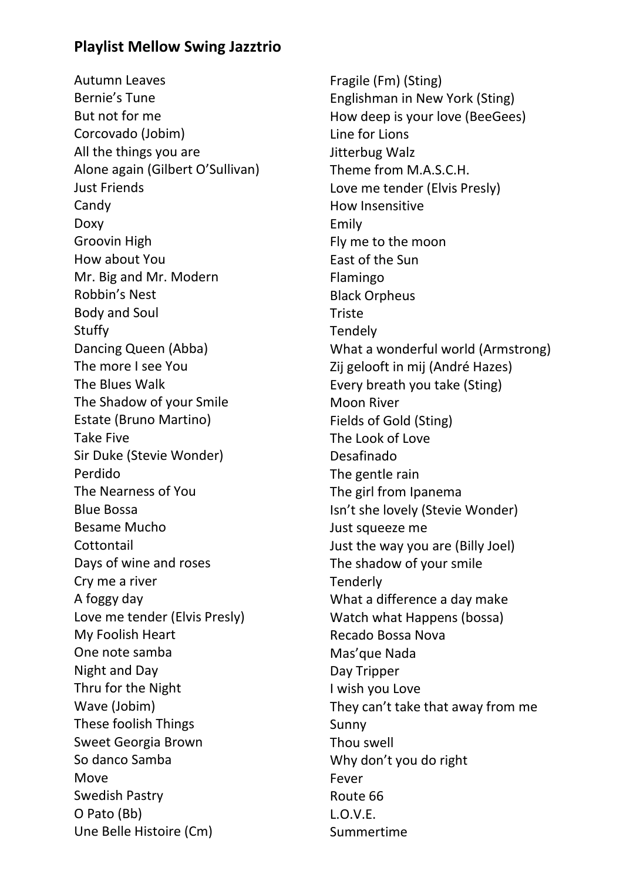## **Playlist Mellow Swing Jazztrio**

Autumn Leaves Bernie's Tune But not for me Corcovado (Jobim) All the things you are Alone again (Gilbert O'Sullivan) Just Friends Candy Doxy Groovin High How about You Mr. Big and Mr. Modern Robbin's Nest Body and Soul Stuffy Dancing Queen (Abba) The more I see You The Blues Walk The Shadow of your Smile Estate (Bruno Martino) Take Five Sir Duke (Stevie Wonder) Perdido The Nearness of You Blue Bossa Besame Mucho **Cottontail** Days of wine and roses Cry me a river A foggy day Love me tender (Elvis Presly) My Foolish Heart One note samba Night and Day Thru for the Night Wave (Jobim) These foolish Things Sweet Georgia Brown So danco Samba Move Swedish Pastry O Pato (Bb) Une Belle Histoire (Cm)

Fragile (Fm) (Sting) Englishman in New York (Sting) How deep is your love (BeeGees) Line for Lions Jitterbug Walz Theme from M.A.S.C.H. Love me tender (Elvis Presly) How Insensitive Emily Fly me to the moon East of the Sun Flamingo Black Orpheus Triste Tendely What a wonderful world (Armstrong) Zij gelooft in mij (André Hazes) Every breath you take (Sting) Moon River Fields of Gold (Sting) The Look of Love Desafinado The gentle rain The girl from Ipanema Isn't she lovely (Stevie Wonder) Just squeeze me Just the way you are (Billy Joel) The shadow of your smile **Tenderly** What a difference a day make Watch what Happens (bossa) Recado Bossa Nova Mas'que Nada Day Tripper I wish you Love They can't take that away from me Sunny Thou swell Why don't you do right Fever Route 66 L.O.V.E. Summertime